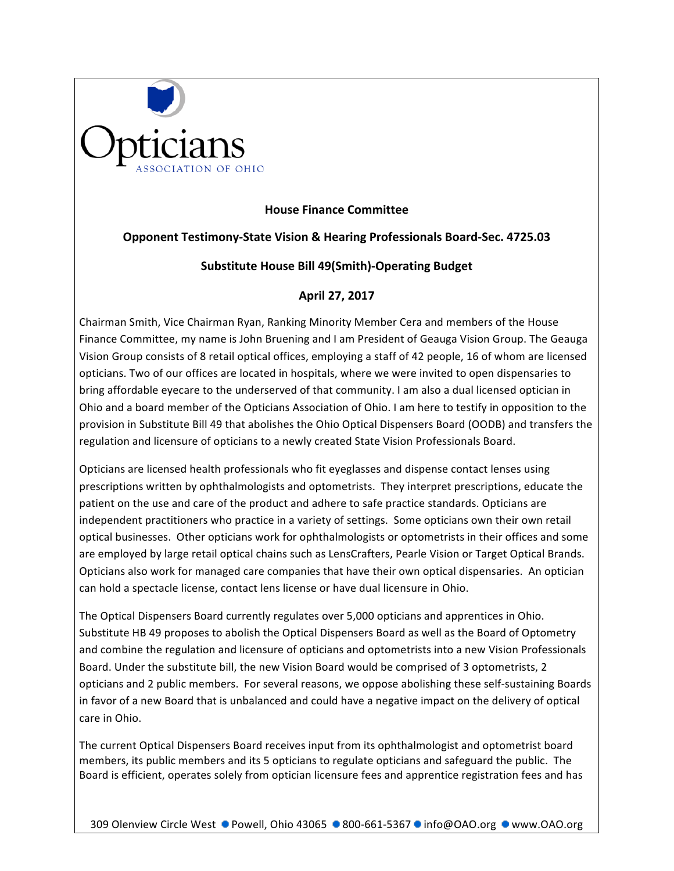

## **House Finance Committee**

## **Opponent Testimony-State Vision & Hearing Professionals Board-Sec. 4725.03**

## Substitute House Bill 49(Smith)-Operating Budget

## **April 27, 2017**

Chairman Smith, Vice Chairman Ryan, Ranking Minority Member Cera and members of the House Finance Committee, my name is John Bruening and I am President of Geauga Vision Group. The Geauga Vision Group consists of 8 retail optical offices, employing a staff of 42 people, 16 of whom are licensed opticians. Two of our offices are located in hospitals, where we were invited to open dispensaries to bring affordable eyecare to the underserved of that community. I am also a dual licensed optician in Ohio and a board member of the Opticians Association of Ohio. I am here to testify in opposition to the provision in Substitute Bill 49 that abolishes the Ohio Optical Dispensers Board (OODB) and transfers the regulation and licensure of opticians to a newly created State Vision Professionals Board.

Opticians are licensed health professionals who fit eyeglasses and dispense contact lenses using prescriptions written by ophthalmologists and optometrists. They interpret prescriptions, educate the patient on the use and care of the product and adhere to safe practice standards. Opticians are independent practitioners who practice in a variety of settings. Some opticians own their own retail optical businesses. Other opticians work for ophthalmologists or optometrists in their offices and some are employed by large retail optical chains such as LensCrafters, Pearle Vision or Target Optical Brands. Opticians also work for managed care companies that have their own optical dispensaries. An optician can hold a spectacle license, contact lens license or have dual licensure in Ohio.

The Optical Dispensers Board currently regulates over 5,000 opticians and apprentices in Ohio. Substitute HB 49 proposes to abolish the Optical Dispensers Board as well as the Board of Optometry and combine the regulation and licensure of opticians and optometrists into a new Vision Professionals Board. Under the substitute bill, the new Vision Board would be comprised of 3 optometrists, 2 opticians and 2 public members. For several reasons, we oppose abolishing these self-sustaining Boards in favor of a new Board that is unbalanced and could have a negative impact on the delivery of optical care in Ohio.

The current Optical Dispensers Board receives input from its ophthalmologist and optometrist board members, its public members and its 5 opticians to regulate opticians and safeguard the public. The Board is efficient, operates solely from optician licensure fees and apprentice registration fees and has

309 Olenview Circle West ● Powell, Ohio 43065 ● 800-661-5367 ● info@OAO.org ● www.OAO.org